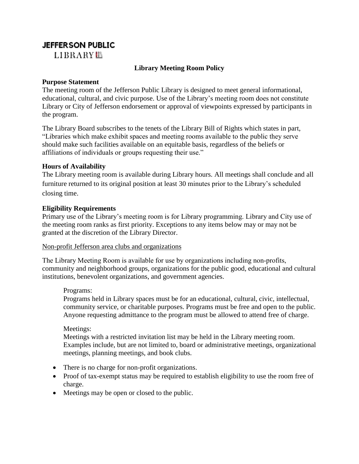# **JEFFERSON PUBLIC**

LIBRARY<sup>11</sup>

# **Library Meeting Room Policy**

### **Purpose Statement**

The meeting room of the Jefferson Public Library is designed to meet general informational, educational, cultural, and civic purpose. Use of the Library's meeting room does not constitute Library or City of Jefferson endorsement or approval of viewpoints expressed by participants in the program.

The Library Board subscribes to the tenets of the Library Bill of Rights which states in part, "Libraries which make exhibit spaces and meeting rooms available to the public they serve should make such facilities available on an equitable basis, regardless of the beliefs or affiliations of individuals or groups requesting their use."

### **Hours of Availability**

The Library meeting room is available during Library hours. All meetings shall conclude and all furniture returned to its original position at least 30 minutes prior to the Library's scheduled closing time.

### **Eligibility Requirements**

Primary use of the Library's meeting room is for Library programming. Library and City use of the meeting room ranks as first priority. Exceptions to any items below may or may not be granted at the discretion of the Library Director.

#### Non-profit Jefferson area clubs and organizations

The Library Meeting Room is available for use by organizations including non-profits, community and neighborhood groups, organizations for the public good, educational and cultural institutions, benevolent organizations, and government agencies.

#### Programs:

Programs held in Library spaces must be for an educational, cultural, civic, intellectual, community service, or charitable purposes. Programs must be free and open to the public. Anyone requesting admittance to the program must be allowed to attend free of charge.

Meetings:

Meetings with a restricted invitation list may be held in the Library meeting room. Examples include, but are not limited to, board or administrative meetings, organizational meetings, planning meetings, and book clubs.

- There is no charge for non-profit organizations.
- Proof of tax-exempt status may be required to establish eligibility to use the room free of charge.
- Meetings may be open or closed to the public.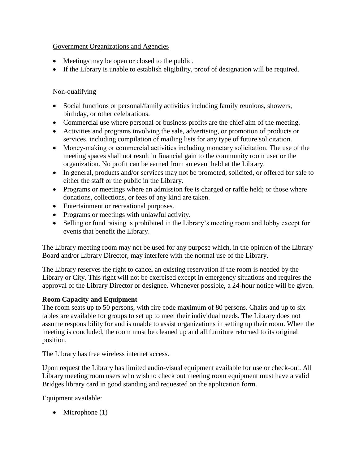# Government Organizations and Agencies

- Meetings may be open or closed to the public.
- If the Library is unable to establish eligibility, proof of designation will be required.

# Non-qualifying

- Social functions or personal/family activities including family reunions, showers, birthday, or other celebrations.
- Commercial use where personal or business profits are the chief aim of the meeting.
- Activities and programs involving the sale, advertising, or promotion of products or services, including compilation of mailing lists for any type of future solicitation.
- Money-making or commercial activities including monetary solicitation. The use of the meeting spaces shall not result in financial gain to the community room user or the organization. No profit can be earned from an event held at the Library.
- In general, products and/or services may not be promoted, solicited, or offered for sale to either the staff or the public in the Library.
- Programs or meetings where an admission fee is charged or raffle held; or those where donations, collections, or fees of any kind are taken.
- Entertainment or recreational purposes.
- Programs or meetings with unlawful activity.
- Selling or fund raising is prohibited in the Library's meeting room and lobby except for events that benefit the Library.

The Library meeting room may not be used for any purpose which, in the opinion of the Library Board and/or Library Director, may interfere with the normal use of the Library.

The Library reserves the right to cancel an existing reservation if the room is needed by the Library or City. This right will not be exercised except in emergency situations and requires the approval of the Library Director or designee. Whenever possible, a 24-hour notice will be given.

# **Room Capacity and Equipment**

The room seats up to 50 persons, with fire code maximum of 80 persons. Chairs and up to six tables are available for groups to set up to meet their individual needs. The Library does not assume responsibility for and is unable to assist organizations in setting up their room. When the meeting is concluded, the room must be cleaned up and all furniture returned to its original position.

The Library has free wireless internet access.

Upon request the Library has limited audio-visual equipment available for use or check-out. All Library meeting room users who wish to check out meeting room equipment must have a valid Bridges library card in good standing and requested on the application form.

Equipment available:

• Microphone  $(1)$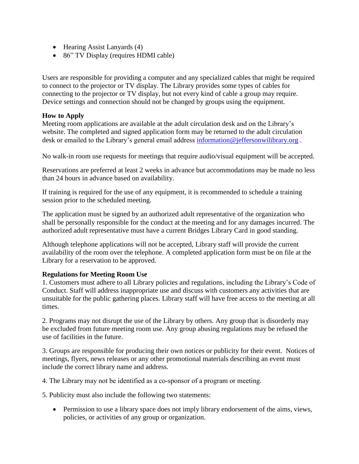- Hearing Assist Lanyards (4)
- 86" TV Display (requires HDMI cable)

Users are responsible for providing a computer and any specialized cables that might be required to connect to the projector or TV display. The Library provides some types of cables for connecting to the projector or TV display, but not every kind of cable a group may require. Device settings and connection should not be changed by groups using the equipment.

### **How to Apply**

Meeting room applications are available at the adult circulation desk and on the Library's website. The completed and signed application form may be returned to the adult circulation desk or emailed to the Library's general email address [information@jeffersonwilibrary.org](mailto:information@jeffersonwilibrary.org).

No walk-in room use requests for meetings that require audio/visual equipment will be accepted.

Reservations are preferred at least 2 weeks in advance but accommodations may be made no less than 24 hours in advance based on availability.

If training is required for the use of any equipment, it is recommended to schedule a training session prior to the scheduled meeting.

The application must be signed by an authorized adult representative of the organization who shall be personally responsible for the conduct at the meeting and for any damages incurred. The authorized adult representative must have a current Bridges Library Card in good standing.

Although telephone applications will not be accepted, Library staff will provide the current availability of the room over the telephone. A completed application form must be on file at the Library for a reservation to be approved.

## **Regulations for Meeting Room Use**

1. Customers must adhere to all Library policies and regulations, including the Library's Code of Conduct. Staff will address inappropriate use and discuss with customers any activities that are unsuitable for the public gathering places. Library staff will have free access to the meeting at all times.

2. Programs may not disrupt the use of the Library by others. Any group that is disorderly may be excluded from future meeting room use. Any group abusing regulations may be refused the use of facilities in the future.

3. Groups are responsible for producing their own notices or publicity for their event. Notices of meetings, flyers, news releases or any other promotional materials describing an event must include the correct library name and address.

4. The Library may not be identified as a co-sponsor of a program or meeting.

5. Publicity must also include the following two statements:

• Permission to use a library space does not imply library endorsement of the aims, views, policies, or activities of any group or organization.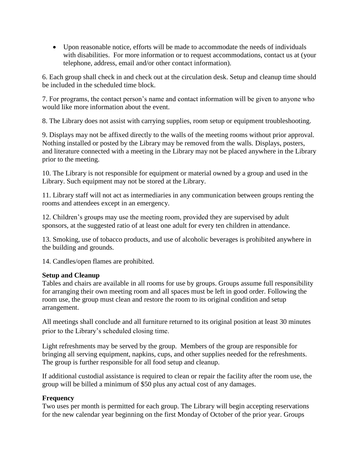• Upon reasonable notice, efforts will be made to accommodate the needs of individuals with disabilities. For more information or to request accommodations, contact us at (your telephone, address, email and/or other contact information).

6. Each group shall check in and check out at the circulation desk. Setup and cleanup time should be included in the scheduled time block.

7. For programs, the contact person's name and contact information will be given to anyone who would like more information about the event.

8. The Library does not assist with carrying supplies, room setup or equipment troubleshooting.

9. Displays may not be affixed directly to the walls of the meeting rooms without prior approval. Nothing installed or posted by the Library may be removed from the walls. Displays, posters, and literature connected with a meeting in the Library may not be placed anywhere in the Library prior to the meeting.

10. The Library is not responsible for equipment or material owned by a group and used in the Library. Such equipment may not be stored at the Library.

11. Library staff will not act as intermediaries in any communication between groups renting the rooms and attendees except in an emergency.

12. Children's groups may use the meeting room, provided they are supervised by adult sponsors, at the suggested ratio of at least one adult for every ten children in attendance.

13. Smoking, use of tobacco products, and use of alcoholic beverages is prohibited anywhere in the building and grounds.

14. Candles/open flames are prohibited.

## **Setup and Cleanup**

Tables and chairs are available in all rooms for use by groups. Groups assume full responsibility for arranging their own meeting room and all spaces must be left in good order. Following the room use, the group must clean and restore the room to its original condition and setup arrangement.

All meetings shall conclude and all furniture returned to its original position at least 30 minutes prior to the Library's scheduled closing time.

Light refreshments may be served by the group. Members of the group are responsible for bringing all serving equipment, napkins, cups, and other supplies needed for the refreshments. The group is further responsible for all food setup and cleanup.

If additional custodial assistance is required to clean or repair the facility after the room use, the group will be billed a minimum of \$50 plus any actual cost of any damages.

## **Frequency**

Two uses per month is permitted for each group. The Library will begin accepting reservations for the new calendar year beginning on the first Monday of October of the prior year. Groups